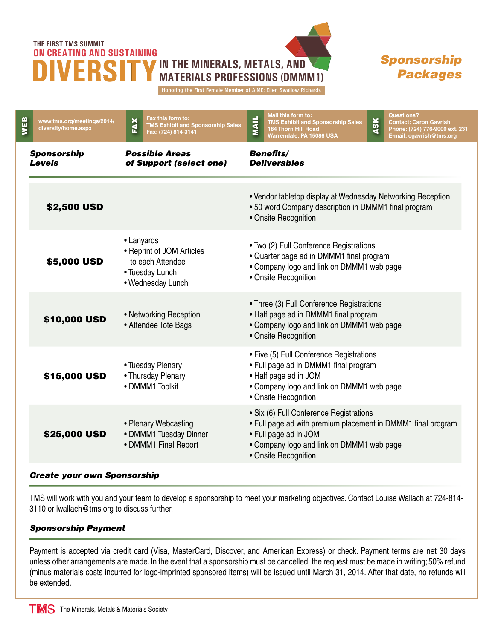## **THE FIRST TMS SUMMIT ON CREATING AND SUSTAINING**



## *Sponsorship Packages*

Honoring the First Female Member of AIME: Ellen Swallow Richards

| WEB                                 | www.tms.org/meetings/2014/<br>diversity/home.aspx                                                                                                                    | EAX                                                                                                                                                                   | Fax this form to:<br><b>TMS Exhibit and Sponsorship Sales</b><br>Fax: (724) 814-3141                                                                                                                  | <b>MAIL</b>                                                                                                                                              | Mail this form to:<br><b>TMS Exhibit and Sponsorship Sales</b><br><b>184 Thorn Hill Road</b><br>Warrendale, PA 15086 USA | ASK | <b>Questions?</b><br><b>Contact: Caron Gavrish</b><br>Phone: (724) 776-9000 ext. 231<br>E-mail: cgavrish@tms.org |
|-------------------------------------|----------------------------------------------------------------------------------------------------------------------------------------------------------------------|-----------------------------------------------------------------------------------------------------------------------------------------------------------------------|-------------------------------------------------------------------------------------------------------------------------------------------------------------------------------------------------------|----------------------------------------------------------------------------------------------------------------------------------------------------------|--------------------------------------------------------------------------------------------------------------------------|-----|------------------------------------------------------------------------------------------------------------------|
| <b>Sponsorship</b><br><b>Levels</b> |                                                                                                                                                                      | <b>Possible Areas</b><br>of Support (select one)                                                                                                                      |                                                                                                                                                                                                       | <b>Benefits/</b><br><b>Deliverables</b>                                                                                                                  |                                                                                                                          |     |                                                                                                                  |
|                                     | <b>\$2,500 USD</b>                                                                                                                                                   |                                                                                                                                                                       | • Vendor tabletop display at Wednesday Networking Reception<br>• 50 word Company description in DMMM1 final program<br>• Onsite Recognition                                                           |                                                                                                                                                          |                                                                                                                          |     |                                                                                                                  |
|                                     | \$5,000 USD                                                                                                                                                          | • Lanyards<br>• Reprint of JOM Articles<br>to each Attendee<br>• Tuesday Lunch<br>• Wednesday Lunch<br>• Networking Reception<br>\$10,000 USD<br>• Attendee Tote Bags |                                                                                                                                                                                                       | • Two (2) Full Conference Registrations<br>• Quarter page ad in DMMM1 final program<br>• Company logo and link on DMMM1 web page<br>• Onsite Recognition |                                                                                                                          |     |                                                                                                                  |
|                                     |                                                                                                                                                                      |                                                                                                                                                                       |                                                                                                                                                                                                       | • Three (3) Full Conference Registrations<br>• Half page ad in DMMM1 final program<br>• Company logo and link on DMMM1 web page<br>• Onsite Recognition  |                                                                                                                          |     |                                                                                                                  |
|                                     | • Tuesday Plenary<br>\$15,000 USD<br>• Thursday Plenary<br>• DMMM1 Toolkit<br>• Plenary Webcasting<br>\$25,000 USD<br>• DMMM1 Tuesday Dinner<br>• DMMM1 Final Report |                                                                                                                                                                       | • Five (5) Full Conference Registrations<br>• Full page ad in DMMM1 final program<br>• Half page ad in JOM<br>• Company logo and link on DMMM1 web page<br>• Onsite Recognition                       |                                                                                                                                                          |                                                                                                                          |     |                                                                                                                  |
|                                     |                                                                                                                                                                      |                                                                                                                                                                       | · Six (6) Full Conference Registrations<br>• Full page ad with premium placement in DMMM1 final program<br>• Full page ad in JOM<br>• Company logo and link on DMMM1 web page<br>• Onsite Recognition |                                                                                                                                                          |                                                                                                                          |     |                                                                                                                  |

## *Create your own Sponsorship*

TMS will work with you and your team to develop a sponsorship to meet your marketing objectives. Contact Louise Wallach at 724-814- 3110 or lwallach@tms.org to discuss further.

## *Sponsorship Payment*

Payment is accepted via credit card (Visa, MasterCard, Discover, and American Express) or check. Payment terms are net 30 days unless other arrangements are made. In the event that a sponsorship must be cancelled, the request must be made in writing; 50% refund (minus materials costs incurred for logo-imprinted sponsored items) will be issued until March 31, 2014. After that date, no refunds will be extended.